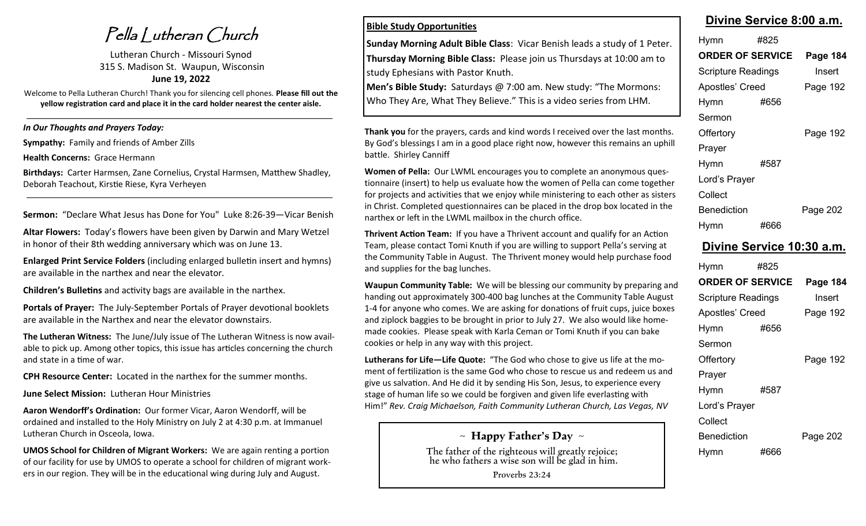Pella Lutheran Church

Lutheran Church - Missouri Synod 315 S. Madison St. Waupun, Wisconsin **June 19, 2022**

Welcome to Pella Lutheran Church! Thank you for silencing cell phones. **Please fill out the yellow registration card and place it in the card holder nearest the center aisle.** 

*In Our Thoughts and Prayers Today:*

**Sympathy:** Family and friends of Amber Zills

**Health Concerns:** Grace Hermann

**Birthdays:** Carter Harmsen, Zane Cornelius, Crystal Harmsen, Matthew Shadley, Deborah Teachout, Kirstie Riese, Kyra Verheyen

**Sermon:** "Declare What Jesus has Done for You" Luke 8:26-39—Vicar Benish

**Altar Flowers:** Today's flowers have been given by Darwin and Mary Wetzel in honor of their 8th wedding anniversary which was on June 13.

**Enlarged Print Service Folders** (including enlarged bulletin insert and hymns) are available in the narthex and near the elevator.

**Children's Bulletins** and activity bags are available in the narthex.

**Portals of Prayer:** The July-September Portals of Prayer devotional booklets are available in the Narthex and near the elevator downstairs.

**The Lutheran Witness:** The June/July issue of The Lutheran Witness is now available to pick up. Among other topics, this issue has articles concerning the church and state in a time of war.

**CPH Resource Center:** Located in the narthex for the summer months.

**June Select Mission:** Lutheran Hour Ministries

**Aaron Wendorff's Ordination:** Our former Vicar, Aaron Wendorff, will be ordained and installed to the Holy Ministry on July 2 at 4:30 p.m. at Immanuel Lutheran Church in Osceola, Iowa.

**UMOS School for Children of Migrant Workers:** We are again renting a portion of our facility for use by UMOS to operate a school for children of migrant workers in our region. They will be in the educational wing during July and August.

### **Bible Study Opportunities**

**Sunday Morning Adult Bible Class**: Vicar Benish leads a study of 1 Peter. **Thursday Morning Bible Class:** Please join us Thursdays at 10:00 am to study Ephesians with Pastor Knuth.

**Men's Bible Study:** Saturdays @ 7:00 am. New study: "The Mormons: Who They Are, What They Believe." This is a video series from LHM.

**Thank you** for the prayers, cards and kind words I received over the last months. By God's blessings I am in a good place right now, however this remains an uphill battle. Shirley Canniff

**Women of Pella:** Our LWML encourages you to complete an anonymous questionnaire (insert) to help us evaluate how the women of Pella can come together for projects and activities that we enjoy while ministering to each other as sisters in Christ. Completed questionnaires can be placed in the drop box located in the narthex or left in the LWML mailbox in the church office.

**Thrivent Action Team:** If you have a Thrivent account and qualify for an Action Team, please contact Tomi Knuth if you are willing to support Pella's serving at the Community Table in August. The Thrivent money would help purchase food and supplies for the bag lunches.

**Waupun Community Table:** We will be blessing our community by preparing and handing out approximately 300-400 bag lunches at the Community Table August 1-4 for anyone who comes. We are asking for donations of fruit cups, juice boxes and ziplock baggies to be brought in prior to July 27. We also would like homemade cookies. Please speak with Karla Ceman or Tomi Knuth if you can bake cookies or help in any way with this project.

**Lutherans for Life—Life Quote:** "The God who chose to give us life at the moment of fertilization is the same God who chose to rescue us and redeem us and give us salvation. And He did it by sending His Son, Jesus, to experience every stage of human life so we could be forgiven and given life everlasting with Him!" *Rev. Craig Michaelson, Faith Community Lutheran Church, Las Vegas, NV*

**~ Happy Father's Day ~**

The father of the righteous will greatly rejoice; he who fathers a wise son will be glad in him.

Proverbs 23:24

| Divine Service 8:00 a.m. |  |
|--------------------------|--|
|                          |  |

| Hymn                      | #825 |                 |
|---------------------------|------|-----------------|
| <b>ORDER OF SERVICE</b>   |      | <b>Page 184</b> |
| <b>Scripture Readings</b> |      | Insert          |
| Apostles' Creed           |      | Page 192        |
| Hymn                      | #656 |                 |
| Sermon                    |      |                 |
| Offertory                 |      | Page 192        |
| Prayer                    |      |                 |
| Hymn                      | #587 |                 |
| Lord's Prayer             |      |                 |
| Collect                   |      |                 |
| <b>Benediction</b>        |      | Page 202        |
| Hymn                      | #666 |                 |

### **Divine Service 10:30 a.m.**

| Hymn                    | #825 |          |
|-------------------------|------|----------|
| <b>ORDER OF SERVICE</b> |      | Page 184 |
| Scripture Readings      |      | Insert   |
| Apostles' Creed         |      | Page 192 |
| Hymn                    | #656 |          |
| Sermon                  |      |          |
| Offertory               |      | Page 192 |
| Prayer                  |      |          |
| Hymn                    | #587 |          |
| Lord's Prayer           |      |          |
| Collect                 |      |          |
| Benediction             |      | Page 202 |
| Hymn                    | #666 |          |